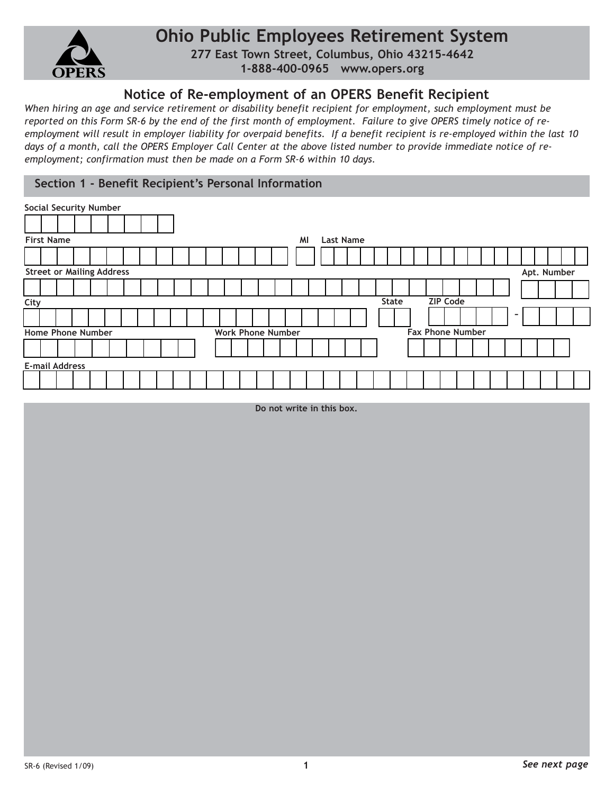

## **Ohio Public Employees Retirement System**

**277 East Town Street, Columbus, Ohio 43215-4642 1-888-400-0965 www.opers.org**

## **Notice of Re-employment of an OPERS Benefit Recipient**

*When hiring an age and service retirement or disability benefit recipient for employment, such employment must be reported on this Form SR-6 by the end of the first month of employment. Failure to give OPERS timely notice of reemployment will result in employer liability for overpaid benefits. If a benefit recipient is re-employed within the last 10 days of a month, call the OPERS Employer Call Center at the above listed number to provide immediate notice of reemployment; confirmation must then be made on a Form SR-6 within 10 days.*

## **Section 1 - Benefit Recipient's Personal Information**

| <b>Social Security Number</b>                   |                          |                         |  |  |  |  |  |  |  |  |  |
|-------------------------------------------------|--------------------------|-------------------------|--|--|--|--|--|--|--|--|--|
|                                                 |                          |                         |  |  |  |  |  |  |  |  |  |
| <b>First Name</b><br>MI<br><b>Last Name</b>     |                          |                         |  |  |  |  |  |  |  |  |  |
|                                                 |                          |                         |  |  |  |  |  |  |  |  |  |
| <b>Street or Mailing Address</b><br>Apt. Number |                          |                         |  |  |  |  |  |  |  |  |  |
|                                                 |                          |                         |  |  |  |  |  |  |  |  |  |
| <b>ZIP Code</b><br><b>State</b><br>City         |                          |                         |  |  |  |  |  |  |  |  |  |
|                                                 |                          | ۰                       |  |  |  |  |  |  |  |  |  |
| <b>Home Phone Number</b>                        | <b>Work Phone Number</b> | <b>Fax Phone Number</b> |  |  |  |  |  |  |  |  |  |
|                                                 |                          |                         |  |  |  |  |  |  |  |  |  |
| <b>E-mail Address</b>                           |                          |                         |  |  |  |  |  |  |  |  |  |
|                                                 |                          |                         |  |  |  |  |  |  |  |  |  |

**Do not write in this box.**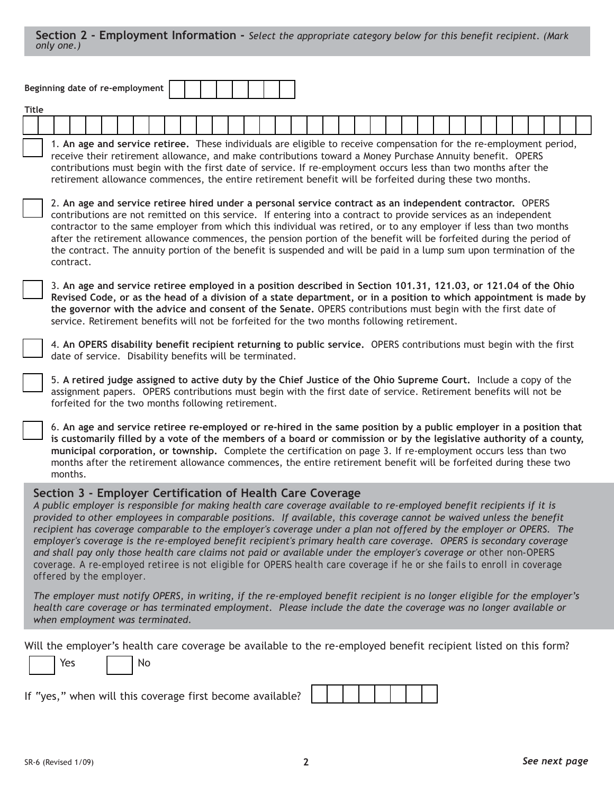|                                                                                                                              | Beginning date of re-employment                                                                                                                                                                                                                                                                                                                                                                                                                                                                                                                                                                                  |                                 |  |  |  |  |  |  |  |  |  |  |  |                                                           |  |                                                                                                                                                                                                                                                                                                                                                                                                                                                                                                                                                                                                                                                                                                                                                                                                             |  |  |  |  |  |  |  |  |
|------------------------------------------------------------------------------------------------------------------------------|------------------------------------------------------------------------------------------------------------------------------------------------------------------------------------------------------------------------------------------------------------------------------------------------------------------------------------------------------------------------------------------------------------------------------------------------------------------------------------------------------------------------------------------------------------------------------------------------------------------|---------------------------------|--|--|--|--|--|--|--|--|--|--|--|-----------------------------------------------------------|--|-------------------------------------------------------------------------------------------------------------------------------------------------------------------------------------------------------------------------------------------------------------------------------------------------------------------------------------------------------------------------------------------------------------------------------------------------------------------------------------------------------------------------------------------------------------------------------------------------------------------------------------------------------------------------------------------------------------------------------------------------------------------------------------------------------------|--|--|--|--|--|--|--|--|
|                                                                                                                              | <b>Title</b>                                                                                                                                                                                                                                                                                                                                                                                                                                                                                                                                                                                                     |                                 |  |  |  |  |  |  |  |  |  |  |  |                                                           |  |                                                                                                                                                                                                                                                                                                                                                                                                                                                                                                                                                                                                                                                                                                                                                                                                             |  |  |  |  |  |  |  |  |
|                                                                                                                              |                                                                                                                                                                                                                                                                                                                                                                                                                                                                                                                                                                                                                  |                                 |  |  |  |  |  |  |  |  |  |  |  |                                                           |  |                                                                                                                                                                                                                                                                                                                                                                                                                                                                                                                                                                                                                                                                                                                                                                                                             |  |  |  |  |  |  |  |  |
|                                                                                                                              | 1. An age and service retiree. These individuals are eligible to receive compensation for the re-employment period,<br>receive their retirement allowance, and make contributions toward a Money Purchase Annuity benefit. OPERS<br>contributions must begin with the first date of service. If re-employment occurs less than two months after the<br>retirement allowance commences, the entire retirement benefit will be forfeited during these two months.                                                                                                                                                  |                                 |  |  |  |  |  |  |  |  |  |  |  |                                                           |  |                                                                                                                                                                                                                                                                                                                                                                                                                                                                                                                                                                                                                                                                                                                                                                                                             |  |  |  |  |  |  |  |  |
|                                                                                                                              | 2. An age and service retiree hired under a personal service contract as an independent contractor. OPERS<br>contributions are not remitted on this service. If entering into a contract to provide services as an independent<br>contractor to the same employer from which this individual was retired, or to any employer if less than two months<br>after the retirement allowance commences, the pension portion of the benefit will be forfeited during the period of<br>the contract. The annuity portion of the benefit is suspended and will be paid in a lump sum upon termination of the<br>contract. |                                 |  |  |  |  |  |  |  |  |  |  |  |                                                           |  |                                                                                                                                                                                                                                                                                                                                                                                                                                                                                                                                                                                                                                                                                                                                                                                                             |  |  |  |  |  |  |  |  |
|                                                                                                                              | 3. An age and service retiree employed in a position described in Section 101.31, 121.03, or 121.04 of the Ohio<br>Revised Code, or as the head of a division of a state department, or in a position to which appointment is made by<br>the governor with the advice and consent of the Senate. OPERS contributions must begin with the first date of<br>service. Retirement benefits will not be forfeited for the two months following retirement.                                                                                                                                                            |                                 |  |  |  |  |  |  |  |  |  |  |  |                                                           |  |                                                                                                                                                                                                                                                                                                                                                                                                                                                                                                                                                                                                                                                                                                                                                                                                             |  |  |  |  |  |  |  |  |
|                                                                                                                              | 4. An OPERS disability benefit recipient returning to public service. OPERS contributions must begin with the first<br>date of service. Disability benefits will be terminated.                                                                                                                                                                                                                                                                                                                                                                                                                                  |                                 |  |  |  |  |  |  |  |  |  |  |  |                                                           |  |                                                                                                                                                                                                                                                                                                                                                                                                                                                                                                                                                                                                                                                                                                                                                                                                             |  |  |  |  |  |  |  |  |
|                                                                                                                              | 5. A retired judge assigned to active duty by the Chief Justice of the Ohio Supreme Court. Include a copy of the<br>assignment papers. OPERS contributions must begin with the first date of service. Retirement benefits will not be<br>forfeited for the two months following retirement.                                                                                                                                                                                                                                                                                                                      |                                 |  |  |  |  |  |  |  |  |  |  |  |                                                           |  |                                                                                                                                                                                                                                                                                                                                                                                                                                                                                                                                                                                                                                                                                                                                                                                                             |  |  |  |  |  |  |  |  |
|                                                                                                                              | 6. An age and service retiree re-employed or re-hired in the same position by a public employer in a position that<br>is customarily filled by a vote of the members of a board or commission or by the legislative authority of a county,<br>municipal corporation, or township. Complete the certification on page 3. If re-employment occurs less than two<br>months after the retirement allowance commences, the entire retirement benefit will be forfeited during these two<br>months.                                                                                                                    |                                 |  |  |  |  |  |  |  |  |  |  |  |                                                           |  |                                                                                                                                                                                                                                                                                                                                                                                                                                                                                                                                                                                                                                                                                                                                                                                                             |  |  |  |  |  |  |  |  |
|                                                                                                                              |                                                                                                                                                                                                                                                                                                                                                                                                                                                                                                                                                                                                                  | offered by the employer.        |  |  |  |  |  |  |  |  |  |  |  |                                                           |  | Section 3 - Employer Certification of Health Care Coverage<br>A public employer is responsible for making health care coverage available to re-employed benefit recipients if it is<br>provided to other employees in comparable positions. If available, this coverage cannot be waived unless the benefit<br>recipient has coverage comparable to the employer's coverage under a plan not offered by the employer or OPERS. The<br>employer's coverage is the re-employed benefit recipient's primary health care coverage. OPERS is secondary coverage<br>and shall pay only those health care claims not paid or available under the employer's coverage or other non-OPERS<br>coverage. A re-employed retiree is not eligible for OPERS health care coverage if he or she fails to enroll in coverage |  |  |  |  |  |  |  |  |
|                                                                                                                              |                                                                                                                                                                                                                                                                                                                                                                                                                                                                                                                                                                                                                  | when employment was terminated. |  |  |  |  |  |  |  |  |  |  |  |                                                           |  | The employer must notify OPERS, in writing, if the re-employed benefit recipient is no longer eligible for the employer's<br>health care coverage or has terminated employment. Please include the date the coverage was no longer available or                                                                                                                                                                                                                                                                                                                                                                                                                                                                                                                                                             |  |  |  |  |  |  |  |  |
| Will the employer's health care coverage be available to the re-employed benefit recipient listed on this form?<br>Yes<br>No |                                                                                                                                                                                                                                                                                                                                                                                                                                                                                                                                                                                                                  |                                 |  |  |  |  |  |  |  |  |  |  |  |                                                           |  |                                                                                                                                                                                                                                                                                                                                                                                                                                                                                                                                                                                                                                                                                                                                                                                                             |  |  |  |  |  |  |  |  |
|                                                                                                                              |                                                                                                                                                                                                                                                                                                                                                                                                                                                                                                                                                                                                                  |                                 |  |  |  |  |  |  |  |  |  |  |  | If "yes," when will this coverage first become available? |  |                                                                                                                                                                                                                                                                                                                                                                                                                                                                                                                                                                                                                                                                                                                                                                                                             |  |  |  |  |  |  |  |  |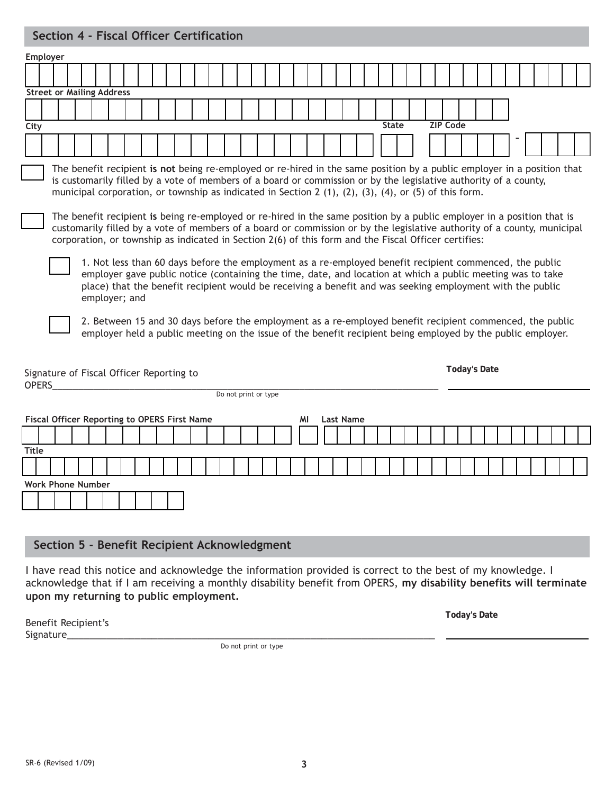## **Section 4 - Fiscal Officer Certification**

| Employer                                                                                                                                                                                                                                                                                                                                                           |  |  |  |  |  |  |  |  |  |  |  |
|--------------------------------------------------------------------------------------------------------------------------------------------------------------------------------------------------------------------------------------------------------------------------------------------------------------------------------------------------------------------|--|--|--|--|--|--|--|--|--|--|--|
|                                                                                                                                                                                                                                                                                                                                                                    |  |  |  |  |  |  |  |  |  |  |  |
| <b>Street or Mailing Address</b>                                                                                                                                                                                                                                                                                                                                   |  |  |  |  |  |  |  |  |  |  |  |
|                                                                                                                                                                                                                                                                                                                                                                    |  |  |  |  |  |  |  |  |  |  |  |
| <b>State</b><br><b>ZIP Code</b><br>City                                                                                                                                                                                                                                                                                                                            |  |  |  |  |  |  |  |  |  |  |  |
|                                                                                                                                                                                                                                                                                                                                                                    |  |  |  |  |  |  |  |  |  |  |  |
|                                                                                                                                                                                                                                                                                                                                                                    |  |  |  |  |  |  |  |  |  |  |  |
| The benefit recipient is not being re-employed or re-hired in the same position by a public employer in a position that<br>is customarily filled by a vote of members of a board or commission or by the legislative authority of a county,<br>municipal corporation, or township as indicated in Section 2 $(1)$ , $(2)$ , $(3)$ , $(4)$ , or $(5)$ of this form. |  |  |  |  |  |  |  |  |  |  |  |
|                                                                                                                                                                                                                                                                                                                                                                    |  |  |  |  |  |  |  |  |  |  |  |
| The benefit recipient is being re-employed or re-hired in the same position by a public employer in a position that is<br>customarily filled by a vote of members of a board or commission or by the legislative authority of a county, municipal<br>corporation, or township as indicated in Section 2(6) of this form and the Fiscal Officer certifies:          |  |  |  |  |  |  |  |  |  |  |  |
| 1. Not less than 60 days before the employment as a re-employed benefit recipient commenced, the public<br>employer gave public notice (containing the time, date, and location at which a public meeting was to take<br>place) that the benefit recipient would be receiving a benefit and was seeking employment with the public<br>employer; and                |  |  |  |  |  |  |  |  |  |  |  |
| 2. Between 15 and 30 days before the employment as a re-employed benefit recipient commenced, the public<br>employer held a public meeting on the issue of the benefit recipient being employed by the public employer.                                                                                                                                            |  |  |  |  |  |  |  |  |  |  |  |
| <b>Today's Date</b><br>Signature of Fiscal Officer Reporting to<br><b>OPERS</b>                                                                                                                                                                                                                                                                                    |  |  |  |  |  |  |  |  |  |  |  |
| Do not print or type                                                                                                                                                                                                                                                                                                                                               |  |  |  |  |  |  |  |  |  |  |  |
| Fiscal Officer Reporting to OPERS First Name<br><b>Last Name</b><br>ΜI                                                                                                                                                                                                                                                                                             |  |  |  |  |  |  |  |  |  |  |  |
|                                                                                                                                                                                                                                                                                                                                                                    |  |  |  |  |  |  |  |  |  |  |  |
| <b>Title</b>                                                                                                                                                                                                                                                                                                                                                       |  |  |  |  |  |  |  |  |  |  |  |
|                                                                                                                                                                                                                                                                                                                                                                    |  |  |  |  |  |  |  |  |  |  |  |
| <b>Work Phone Number</b>                                                                                                                                                                                                                                                                                                                                           |  |  |  |  |  |  |  |  |  |  |  |
|                                                                                                                                                                                                                                                                                                                                                                    |  |  |  |  |  |  |  |  |  |  |  |
|                                                                                                                                                                                                                                                                                                                                                                    |  |  |  |  |  |  |  |  |  |  |  |
|                                                                                                                                                                                                                                                                                                                                                                    |  |  |  |  |  |  |  |  |  |  |  |
| Section 5 - Benefit Recipient Acknowledgment                                                                                                                                                                                                                                                                                                                       |  |  |  |  |  |  |  |  |  |  |  |

I have read this notice and acknowledge the information provided is correct to the best of my knowledge. I acknowledge that if I am receiving a monthly disability benefit from OPERS, **my disability benefits will terminate upon my returning to public employment.**

| Benefit Recipient's | Today's Date |  |  |  |  |
|---------------------|--------------|--|--|--|--|
| Signature_          |              |  |  |  |  |

Do not print or type